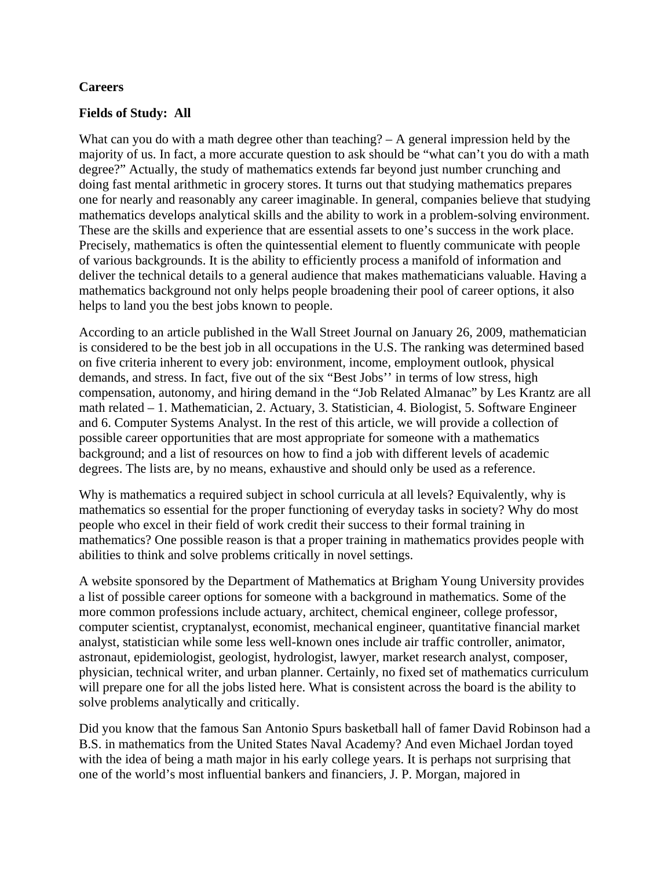## **Careers**

#### **Fields of Study: All**

What can you do with a math degree other than teaching? – A general impression held by the majority of us. In fact, a more accurate question to ask should be "what can't you do with a math degree?" Actually, the study of mathematics extends far beyond just number crunching and doing fast mental arithmetic in grocery stores. It turns out that studying mathematics prepares one for nearly and reasonably any career imaginable. In general, companies believe that studying mathematics develops analytical skills and the ability to work in a problem-solving environment. These are the skills and experience that are essential assets to one's success in the work place. Precisely, mathematics is often the quintessential element to fluently communicate with people of various backgrounds. It is the ability to efficiently process a manifold of information and deliver the technical details to a general audience that makes mathematicians valuable. Having a mathematics background not only helps people broadening their pool of career options, it also helps to land you the best jobs known to people.

According to an article published in the Wall Street Journal on January 26, 2009, mathematician is considered to be the best job in all occupations in the U.S. The ranking was determined based on five criteria inherent to every job: environment, income, employment outlook, physical demands, and stress. In fact, five out of the six "Best Jobs'' in terms of low stress, high compensation, autonomy, and hiring demand in the "Job Related Almanac" by Les Krantz are all math related – 1. Mathematician, 2. Actuary, 3. Statistician, 4. Biologist, 5. Software Engineer and 6. Computer Systems Analyst. In the rest of this article, we will provide a collection of possible career opportunities that are most appropriate for someone with a mathematics background; and a list of resources on how to find a job with different levels of academic degrees. The lists are, by no means, exhaustive and should only be used as a reference.

Why is mathematics a required subject in school curricula at all levels? Equivalently, why is mathematics so essential for the proper functioning of everyday tasks in society? Why do most people who excel in their field of work credit their success to their formal training in mathematics? One possible reason is that a proper training in mathematics provides people with abilities to think and solve problems critically in novel settings.

A website sponsored by the Department of Mathematics at Brigham Young University provides a list of possible career options for someone with a background in mathematics. Some of the more common professions include actuary, architect, chemical engineer, college professor, computer scientist, cryptanalyst, economist, mechanical engineer, quantitative financial market analyst, statistician while some less well-known ones include air traffic controller, animator, astronaut, epidemiologist, geologist, hydrologist, lawyer, market research analyst, composer, physician, technical writer, and urban planner. Certainly, no fixed set of mathematics curriculum will prepare one for all the jobs listed here. What is consistent across the board is the ability to solve problems analytically and critically.

Did you know that the famous San Antonio Spurs basketball hall of famer David Robinson had a B.S. in mathematics from the United States Naval Academy? And even Michael Jordan toyed with the idea of being a math major in his early college years. It is perhaps not surprising that one of the world's most influential bankers and financiers, J. P. Morgan, majored in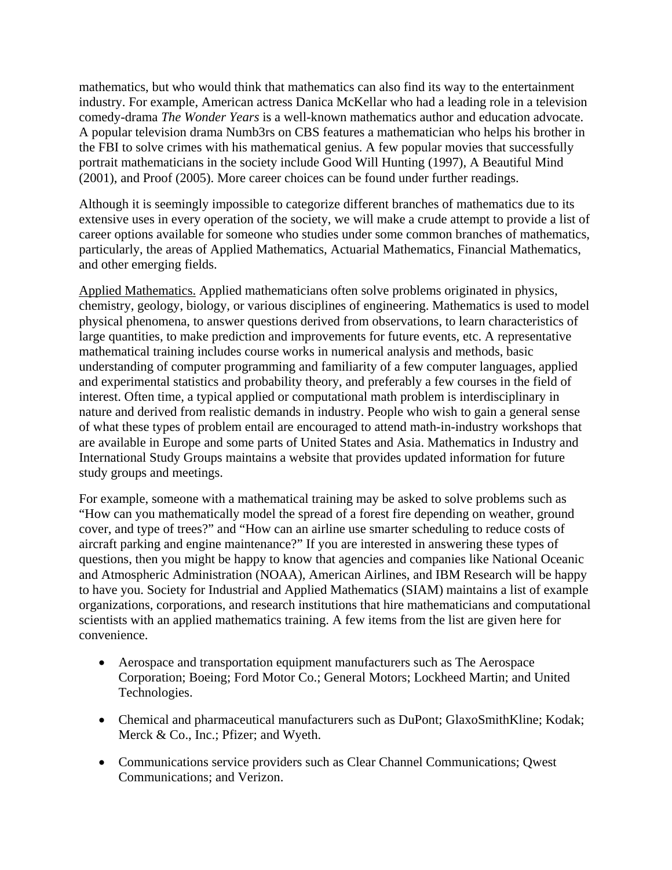mathematics, but who would think that mathematics can also find its way to the entertainment industry. For example, American actress Danica McKellar who had a leading role in a television comedy-drama *The Wonder Years* is a well-known mathematics author and education advocate. A popular television drama Numb3rs on CBS features a mathematician who helps his brother in the FBI to solve crimes with his mathematical genius. A few popular movies that successfully portrait mathematicians in the society include Good Will Hunting (1997), A Beautiful Mind (2001), and Proof (2005). More career choices can be found under further readings.

Although it is seemingly impossible to categorize different branches of mathematics due to its extensive uses in every operation of the society, we will make a crude attempt to provide a list of career options available for someone who studies under some common branches of mathematics, particularly, the areas of Applied Mathematics, Actuarial Mathematics, Financial Mathematics, and other emerging fields.

Applied Mathematics. Applied mathematicians often solve problems originated in physics, chemistry, geology, biology, or various disciplines of engineering. Mathematics is used to model physical phenomena, to answer questions derived from observations, to learn characteristics of large quantities, to make prediction and improvements for future events, etc. A representative mathematical training includes course works in numerical analysis and methods, basic understanding of computer programming and familiarity of a few computer languages, applied and experimental statistics and probability theory, and preferably a few courses in the field of interest. Often time, a typical applied or computational math problem is interdisciplinary in nature and derived from realistic demands in industry. People who wish to gain a general sense of what these types of problem entail are encouraged to attend math-in-industry workshops that are available in Europe and some parts of United States and Asia. Mathematics in Industry and International Study Groups maintains a website that provides updated information for future study groups and meetings.

For example, someone with a mathematical training may be asked to solve problems such as "How can you mathematically model the spread of a forest fire depending on weather, ground cover, and type of trees?" and "How can an airline use smarter scheduling to reduce costs of aircraft parking and engine maintenance?" If you are interested in answering these types of questions, then you might be happy to know that agencies and companies like National Oceanic and Atmospheric Administration (NOAA), American Airlines, and IBM Research will be happy to have you. Society for Industrial and Applied Mathematics (SIAM) maintains a list of example organizations, corporations, and research institutions that hire mathematicians and computational scientists with an applied mathematics training. A few items from the list are given here for convenience.

- Aerospace and transportation equipment manufacturers such as The Aerospace Corporation; Boeing; Ford Motor Co.; General Motors; Lockheed Martin; and United Technologies.
- Chemical and pharmaceutical manufacturers such as DuPont; GlaxoSmithKline; Kodak; Merck & Co., Inc.; Pfizer; and Wyeth.
- Communications service providers such as Clear Channel Communications; Qwest Communications; and Verizon.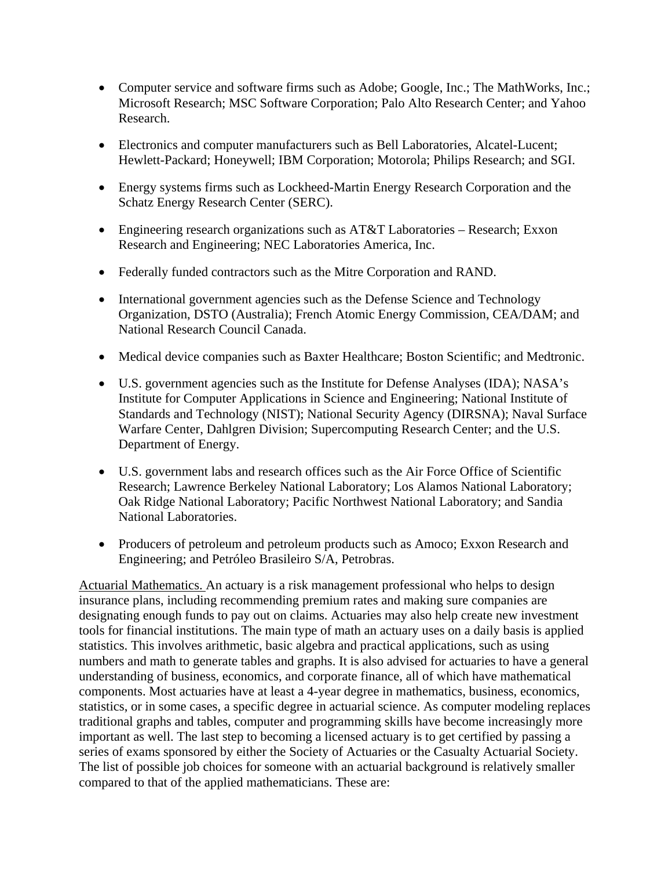- Computer service and software firms such as Adobe; Google, Inc.; The MathWorks, Inc.; Microsoft Research; MSC Software Corporation; Palo Alto Research Center; and Yahoo Research.
- Electronics and computer manufacturers such as Bell Laboratories, Alcatel-Lucent; Hewlett-Packard; Honeywell; IBM Corporation; Motorola; Philips Research; and SGI.
- Energy systems firms such as Lockheed-Martin Energy Research Corporation and the Schatz Energy Research Center (SERC).
- Engineering research organizations such as AT&T Laboratories Research; Exxon Research and Engineering; NEC Laboratories America, Inc.
- Federally funded contractors such as the Mitre Corporation and RAND.
- International government agencies such as the Defense Science and Technology Organization, DSTO (Australia); French Atomic Energy Commission, CEA/DAM; and National Research Council Canada.
- Medical device companies such as Baxter Healthcare; Boston Scientific; and Medtronic.
- U.S. government agencies such as the Institute for Defense Analyses (IDA); NASA's Institute for Computer Applications in Science and Engineering; National Institute of Standards and Technology (NIST); National Security Agency (DIRSNA); Naval Surface Warfare Center, Dahlgren Division; Supercomputing Research Center; and the U.S. Department of Energy.
- U.S. government labs and research offices such as the Air Force Office of Scientific Research; Lawrence Berkeley National Laboratory; Los Alamos National Laboratory; Oak Ridge National Laboratory; Pacific Northwest National Laboratory; and Sandia National Laboratories.
- Producers of petroleum and petroleum products such as Amoco; Exxon Research and Engineering; and Petróleo Brasileiro S/A, Petrobras.

Actuarial Mathematics. An actuary is a risk management professional who helps to design insurance plans, including recommending premium rates and making sure companies are designating enough funds to pay out on claims. Actuaries may also help create new investment tools for financial institutions. The main type of math an actuary uses on a daily basis is applied statistics. This involves arithmetic, basic algebra and practical applications, such as using numbers and math to generate tables and graphs. It is also advised for actuaries to have a general understanding of business, economics, and corporate finance, all of which have mathematical components. Most actuaries have at least a 4-year degree in mathematics, business, economics, statistics, or in some cases, a specific degree in actuarial science. As computer modeling replaces traditional graphs and tables, computer and programming skills have become increasingly more important as well. The last step to becoming a licensed actuary is to get certified by passing a series of exams sponsored by either the Society of Actuaries or the Casualty Actuarial Society. The list of possible job choices for someone with an actuarial background is relatively smaller compared to that of the applied mathematicians. These are: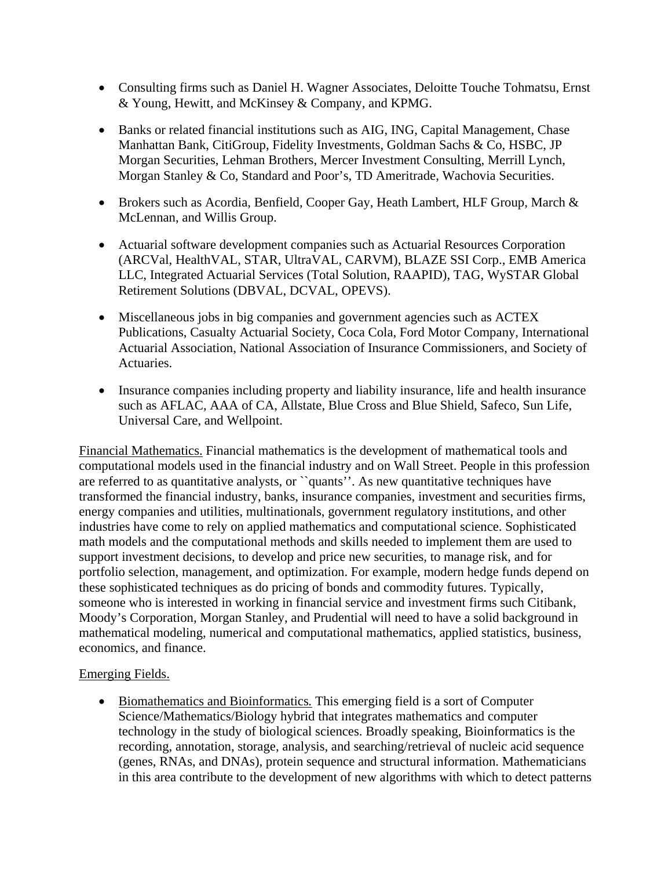- Consulting firms such as Daniel H. Wagner Associates, Deloitte Touche Tohmatsu, Ernst & Young, Hewitt, and McKinsey & Company, and KPMG.
- Banks or related financial institutions such as AIG, ING, Capital Management, Chase Manhattan Bank, CitiGroup, Fidelity Investments, Goldman Sachs & Co, HSBC, JP Morgan Securities, Lehman Brothers, Mercer Investment Consulting, Merrill Lynch, Morgan Stanley & Co, Standard and Poor's, TD Ameritrade, Wachovia Securities.
- Brokers such as Acordia, Benfield, Cooper Gay, Heath Lambert, HLF Group, March & McLennan, and Willis Group.
- Actuarial software development companies such as Actuarial Resources Corporation (ARCVal, HealthVAL, STAR, UltraVAL, CARVM), BLAZE SSI Corp., EMB America LLC, Integrated Actuarial Services (Total Solution, RAAPID), TAG, WySTAR Global Retirement Solutions (DBVAL, DCVAL, OPEVS).
- Miscellaneous jobs in big companies and government agencies such as ACTEX Publications, Casualty Actuarial Society, Coca Cola, Ford Motor Company, International Actuarial Association, National Association of Insurance Commissioners, and Society of Actuaries.
- Insurance companies including property and liability insurance, life and health insurance such as AFLAC, AAA of CA, Allstate, Blue Cross and Blue Shield, Safeco, Sun Life, Universal Care, and Wellpoint.

Financial Mathematics. Financial mathematics is the development of mathematical tools and computational models used in the financial industry and on Wall Street. People in this profession are referred to as quantitative analysts, or ``quants''. As new quantitative techniques have transformed the financial industry, banks, insurance companies, investment and securities firms, energy companies and utilities, multinationals, government regulatory institutions, and other industries have come to rely on applied mathematics and computational science. Sophisticated math models and the computational methods and skills needed to implement them are used to support investment decisions, to develop and price new securities, to manage risk, and for portfolio selection, management, and optimization. For example, modern hedge funds depend on these sophisticated techniques as do pricing of bonds and commodity futures. Typically, someone who is interested in working in financial service and investment firms such Citibank, Moody's Corporation, Morgan Stanley, and Prudential will need to have a solid background in mathematical modeling, numerical and computational mathematics, applied statistics, business, economics, and finance.

# Emerging Fields.

 Biomathematics and Bioinformatics*.* This emerging field is a sort of Computer Science/Mathematics/Biology hybrid that integrates mathematics and computer technology in the study of biological sciences. Broadly speaking, Bioinformatics is the recording, annotation, storage, analysis, and searching/retrieval of nucleic acid sequence (genes, RNAs, and DNAs), protein sequence and structural information. Mathematicians in this area contribute to the development of new algorithms with which to detect patterns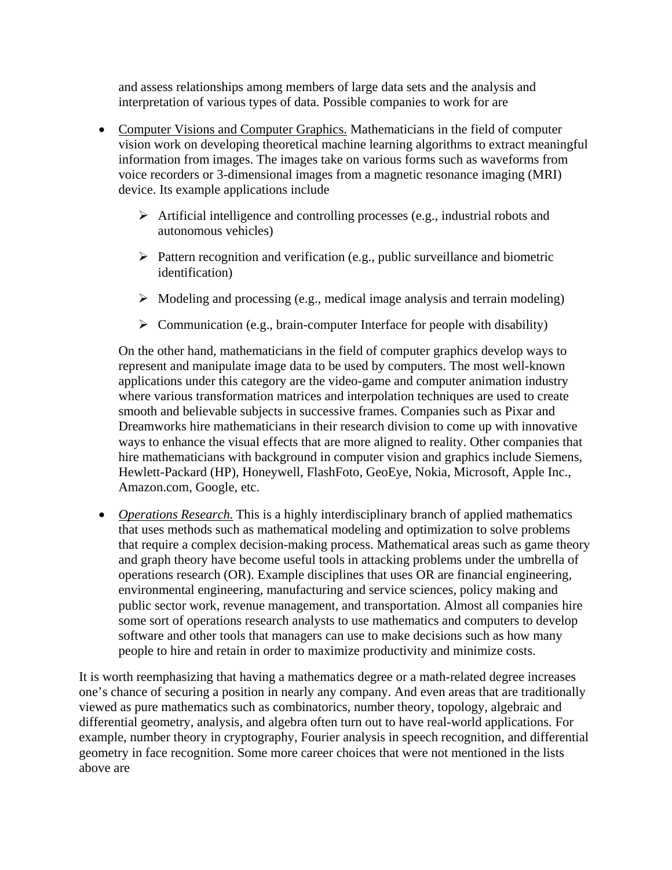and assess relationships among members of large data sets and the analysis and interpretation of various types of data. Possible companies to work for are

- Computer Visions and Computer Graphics. Mathematicians in the field of computer vision work on developing theoretical machine learning algorithms to extract meaningful information from images. The images take on various forms such as waveforms from voice recorders or 3-dimensional images from a magnetic resonance imaging (MRI) device. Its example applications include
	- $\triangleright$  Artificial intelligence and controlling processes (e.g., industrial robots and autonomous vehicles)
	- $\triangleright$  Pattern recognition and verification (e.g., public surveillance and biometric identification)
	- $\triangleright$  Modeling and processing (e.g., medical image analysis and terrain modeling)
	- $\triangleright$  Communication (e.g., brain-computer Interface for people with disability)

On the other hand, mathematicians in the field of computer graphics develop ways to represent and manipulate image data to be used by computers. The most well-known applications under this category are the video-game and computer animation industry where various transformation matrices and interpolation techniques are used to create smooth and believable subjects in successive frames. Companies such as Pixar and Dreamworks hire mathematicians in their research division to come up with innovative ways to enhance the visual effects that are more aligned to reality. Other companies that hire mathematicians with background in computer vision and graphics include Siemens, Hewlett-Packard (HP), Honeywell, FlashFoto, GeoEye, Nokia, Microsoft, Apple Inc., Amazon.com, Google, etc.

 *Operations Research.* This is a highly interdisciplinary branch of applied mathematics that uses methods such as mathematical modeling and optimization to solve problems that require a complex decision-making process. Mathematical areas such as game theory and graph theory have become useful tools in attacking problems under the umbrella of operations research (OR). Example disciplines that uses OR are financial engineering, environmental engineering, manufacturing and service sciences, policy making and public sector work, revenue management, and transportation. Almost all companies hire some sort of operations research analysts to use mathematics and computers to develop software and other tools that managers can use to make decisions such as how many people to hire and retain in order to maximize productivity and minimize costs.

It is worth reemphasizing that having a mathematics degree or a math-related degree increases one's chance of securing a position in nearly any company. And even areas that are traditionally viewed as pure mathematics such as combinatorics, number theory, topology, algebraic and differential geometry, analysis, and algebra often turn out to have real-world applications. For example, number theory in cryptography, Fourier analysis in speech recognition, and differential geometry in face recognition. Some more career choices that were not mentioned in the lists above are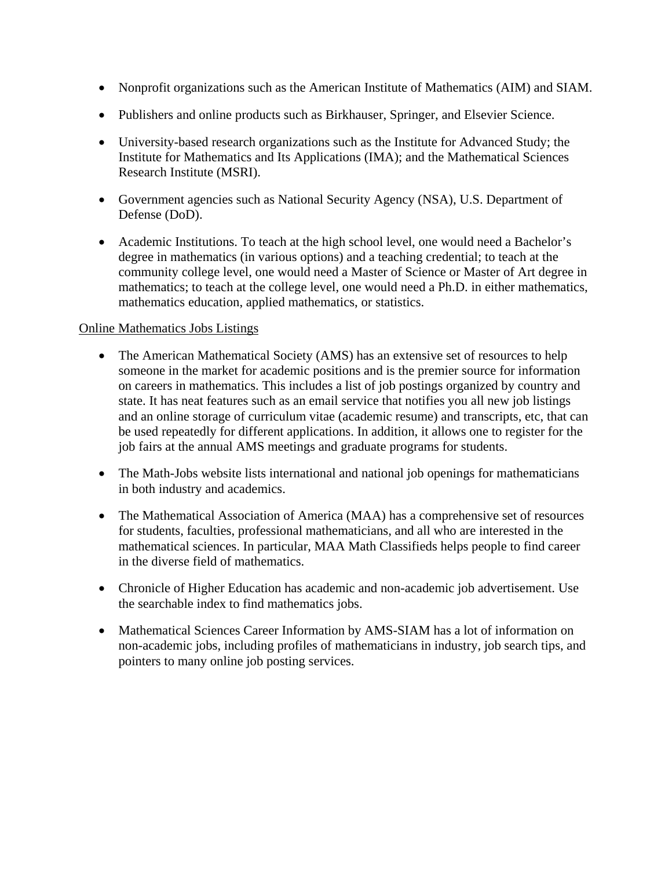- Nonprofit organizations such as the American Institute of Mathematics (AIM) and SIAM.
- Publishers and online products such as Birkhauser, Springer, and Elsevier Science.
- University-based research organizations such as the Institute for Advanced Study; the Institute for Mathematics and Its Applications (IMA); and the Mathematical Sciences Research Institute (MSRI).
- Government agencies such as National Security Agency (NSA), U.S. Department of Defense (DoD).
- Academic Institutions. To teach at the high school level, one would need a Bachelor's degree in mathematics (in various options) and a teaching credential; to teach at the community college level, one would need a Master of Science or Master of Art degree in mathematics; to teach at the college level, one would need a Ph.D. in either mathematics, mathematics education, applied mathematics, or statistics.

## Online Mathematics Jobs Listings

- The American Mathematical Society (AMS) has an extensive set of resources to help someone in the market for academic positions and is the premier source for information on careers in mathematics. This includes a list of job postings organized by country and state. It has neat features such as an email service that notifies you all new job listings and an online storage of curriculum vitae (academic resume) and transcripts, etc, that can be used repeatedly for different applications. In addition, it allows one to register for the job fairs at the annual AMS meetings and graduate programs for students.
- The Math-Jobs website lists international and national job openings for mathematicians in both industry and academics.
- The Mathematical Association of America (MAA) has a comprehensive set of resources for students, faculties, professional mathematicians, and all who are interested in the mathematical sciences. In particular, MAA Math Classifieds helps people to find career in the diverse field of mathematics.
- Chronicle of Higher Education has academic and non-academic job advertisement. Use the searchable index to find mathematics jobs.
- Mathematical Sciences Career Information by AMS-SIAM has a lot of information on non-academic jobs, including profiles of mathematicians in industry, job search tips, and pointers to many online job posting services.